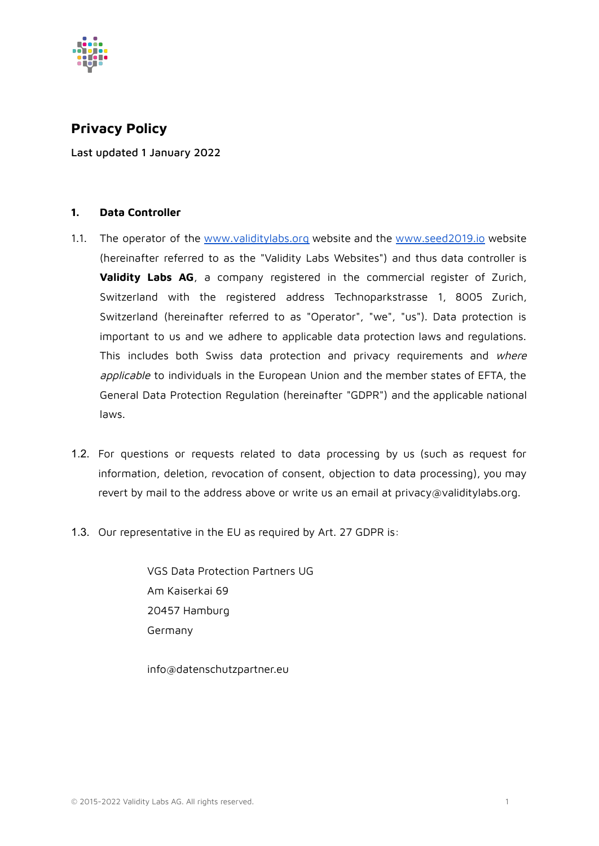

# **Privacy Policy**

Last updated 1 January 2022

# **1. Data Controller**

- 1.1. The operator of the [www.validitylabs.org](http://www.validitylabs.org) website and the [www.seed2019.io](http://www.seed2019.io) website (hereinafter referred to as the "Validity Labs Websites") and thus data controller is **Validity Labs AG**, a company registered in the commercial register of Zurich, Switzerland with the registered address Technoparkstrasse 1, 8005 Zurich, Switzerland (hereinafter referred to as "Operator", "we", "us"). Data protection is important to us and we adhere to applicable data protection laws and regulations. This includes both Swiss data protection and privacy requirements and where applicable to individuals in the European Union and the member states of EFTA, the General Data Protection Regulation (hereinafter "GDPR") and the applicable national laws.
- 1.2. For questions or requests related to data processing by us (such as request for information, deletion, revocation of consent, objection to data processing), you may revert by mail to the address above or write us an email at privacy@validitylabs.org.
- 1.3. Our representative in the EU as required by Art. 27 GDPR is:

VGS Data Protection Partners UG Am Kaiserkai 69 20457 Hamburg Germany

info@datenschutzpartner.eu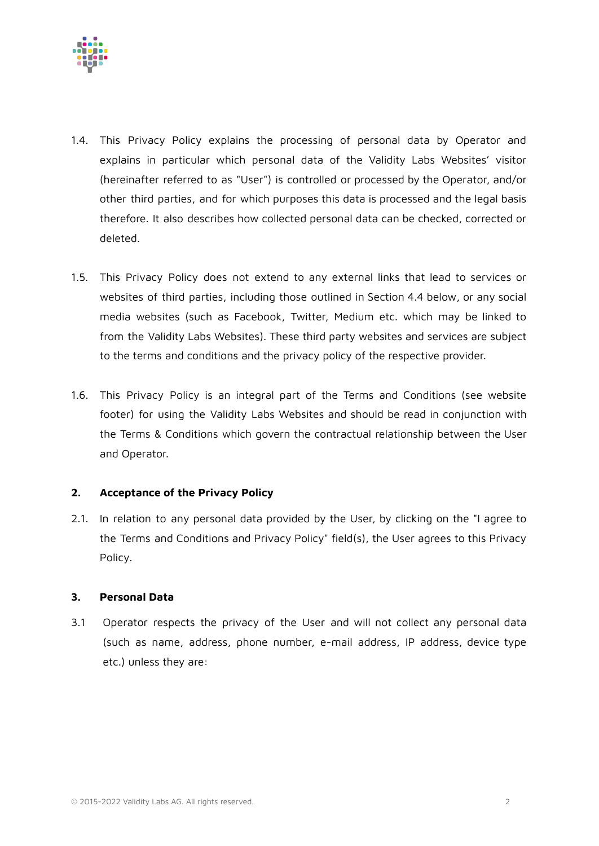

- 1.4. This Privacy Policy explains the processing of personal data by Operator and explains in particular which personal data of the Validity Labs Websites' visitor (hereinafter referred to as "User") is controlled or processed by the Operator, and/or other third parties, and for which purposes this data is processed and the legal basis therefore. It also describes how collected personal data can be checked, corrected or deleted.
- 1.5. This Privacy Policy does not extend to any external links that lead to services or websites of third parties, including those outlined in Section 4.4 below, or any social media websites (such as Facebook, Twitter, Medium etc. which may be linked to from the Validity Labs Websites). These third party websites and services are subject to the terms and conditions and the privacy policy of the respective provider.
- 1.6. This Privacy Policy is an integral part of the Terms and Conditions (see website footer) for using the Validity Labs Websites and should be read in conjunction with the Terms & Conditions which govern the contractual relationship between the User and Operator.

# **2. Acceptance of the Privacy Policy**

2.1. In relation to any personal data provided by the User, by clicking on the "I agree to the Terms and Conditions and Privacy Policy" field(s), the User agrees to this Privacy Policy.

# **3. Personal Data**

3.1 Operator respects the privacy of the User and will not collect any personal data (such as name, address, phone number, e-mail address, IP address, device type etc.) unless they are: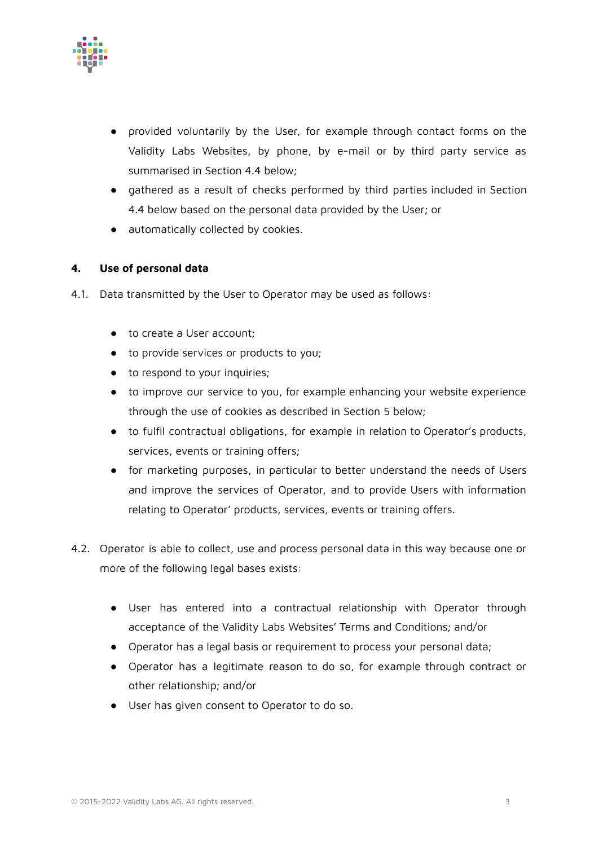

- provided voluntarily by the User, for example through contact forms on the Validity Labs Websites, by phone, by e-mail or by third party service as summarised in Section 4.4 below;
- gathered as a result of checks performed by third parties included in Section 4.4 below based on the personal data provided by the User; or
- automatically collected by cookies.

# **4. Use of personal data**

- 4.1. Data transmitted by the User to Operator may be used as follows:
	- to create a User account:
	- to provide services or products to you;
	- to respond to your inquiries;
	- to improve our service to you, for example enhancing your website experience through the use of cookies as described in Section 5 below;
	- to fulfil contractual obligations, for example in relation to Operator's products, services, events or training offers;
	- for marketing purposes, in particular to better understand the needs of Users and improve the services of Operator, and to provide Users with information relating to Operator' products, services, events or training offers.
- 4.2. Operator is able to collect, use and process personal data in this way because one or more of the following legal bases exists:
	- User has entered into a contractual relationship with Operator through acceptance of the Validity Labs Websites' Terms and Conditions; and/or
	- Operator has a legal basis or requirement to process your personal data;
	- Operator has a legitimate reason to do so, for example through contract or other relationship; and/or
	- User has given consent to Operator to do so.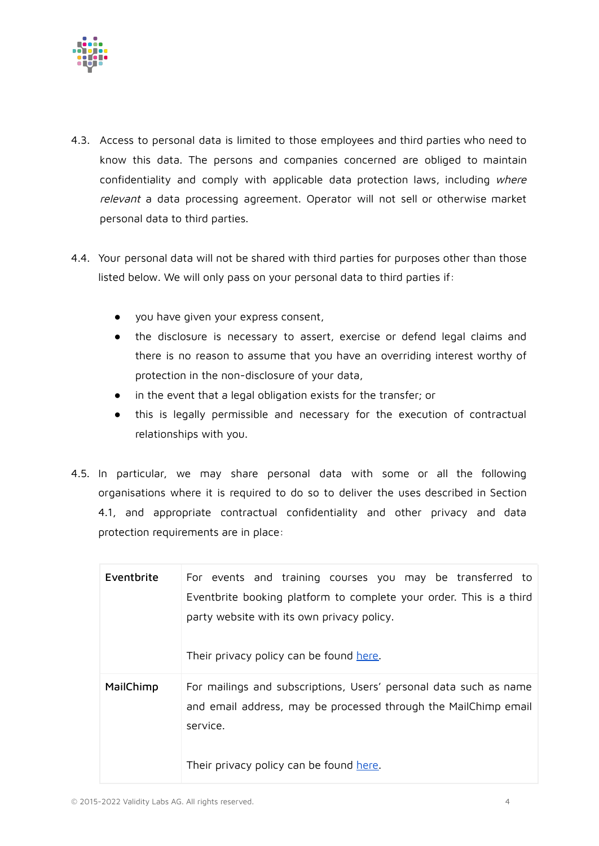

- 4.3. Access to personal data is limited to those employees and third parties who need to know this data. The persons and companies concerned are obliged to maintain confidentiality and comply with applicable data protection laws, including where relevant a data processing agreement. Operator will not sell or otherwise market personal data to third parties.
- 4.4. Your personal data will not be shared with third parties for purposes other than those listed below. We will only pass on your personal data to third parties if:
	- you have given your express consent,
	- the disclosure is necessary to assert, exercise or defend legal claims and there is no reason to assume that you have an overriding interest worthy of protection in the non-disclosure of your data,
	- in the event that a legal obligation exists for the transfer; or
	- this is legally permissible and necessary for the execution of contractual relationships with you.
- 4.5. In particular, we may share personal data with some or all the following organisations where it is required to do so to deliver the uses described in Section 4.1, and appropriate contractual confidentiality and other privacy and data protection requirements are in place:

| Eventbrite | For events and training courses you may be transferred to                                                                                                    |
|------------|--------------------------------------------------------------------------------------------------------------------------------------------------------------|
|            | Eventbrite booking platform to complete your order. This is a third<br>party website with its own privacy policy.<br>Their privacy policy can be found here. |
|            |                                                                                                                                                              |
| MailChimp  | For mailings and subscriptions, Users' personal data such as name<br>and email address, may be processed through the MailChimp email<br>service.             |
|            | Their privacy policy can be found here.                                                                                                                      |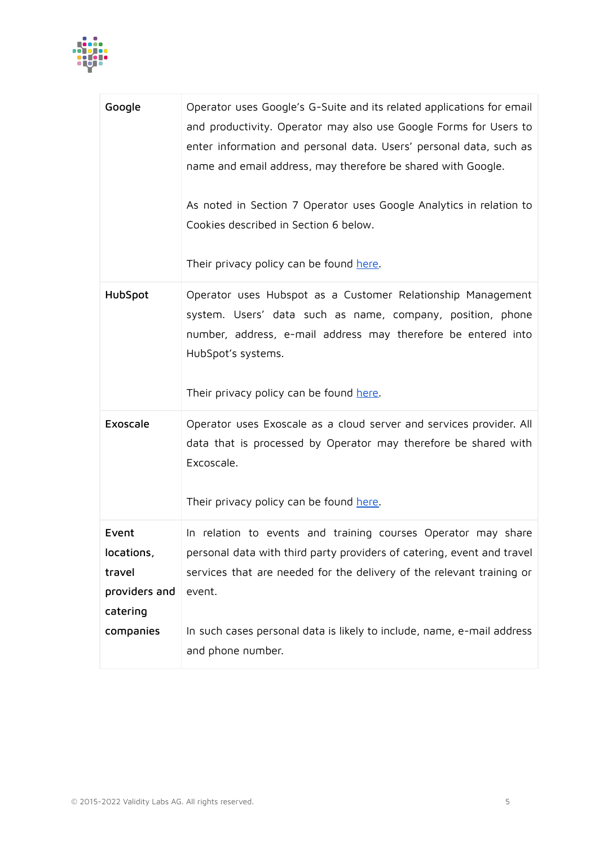

| Google                                                                  | Operator uses Google's G-Suite and its related applications for email<br>and productivity. Operator may also use Google Forms for Users to<br>enter information and personal data. Users' personal data, such as<br>name and email address, may therefore be shared with Google.<br>As noted in Section 7 Operator uses Google Analytics in relation to<br>Cookies described in Section 6 below.<br>Their privacy policy can be found here. |
|-------------------------------------------------------------------------|---------------------------------------------------------------------------------------------------------------------------------------------------------------------------------------------------------------------------------------------------------------------------------------------------------------------------------------------------------------------------------------------------------------------------------------------|
| HubSpot                                                                 | Operator uses Hubspot as a Customer Relationship Management<br>system. Users' data such as name, company, position, phone<br>number, address, e-mail address may therefore be entered into<br>HubSpot's systems.<br>Their privacy policy can be found here.                                                                                                                                                                                 |
| Exoscale                                                                | Operator uses Exoscale as a cloud server and services provider. All<br>data that is processed by Operator may therefore be shared with<br>Excoscale.<br>Their privacy policy can be found here.                                                                                                                                                                                                                                             |
| Event<br>locations,<br>travel<br>providers and<br>catering<br>companies | In relation to events and training courses Operator may share<br>personal data with third party providers of catering, event and travel<br>services that are needed for the delivery of the relevant training or<br>event.<br>In such cases personal data is likely to include, name, e-mail address<br>and phone number.                                                                                                                   |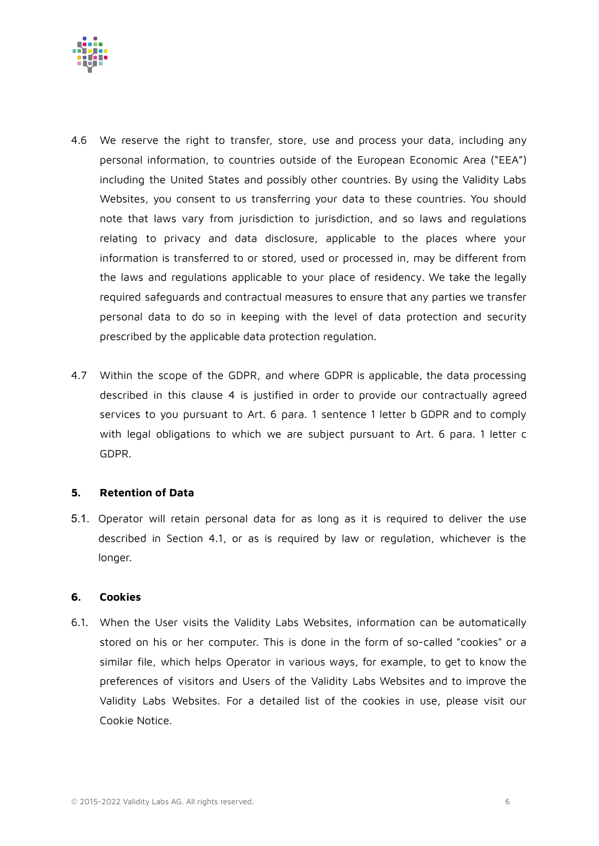

- 4.6 We reserve the right to transfer, store, use and process your data, including any personal information, to countries outside of the European Economic Area ("EEA") including the United States and possibly other countries. By using the Validity Labs Websites, you consent to us transferring your data to these countries. You should note that laws vary from jurisdiction to jurisdiction, and so laws and regulations relating to privacy and data disclosure, applicable to the places where your information is transferred to or stored, used or processed in, may be different from the laws and regulations applicable to your place of residency. We take the legally required safeguards and contractual measures to ensure that any parties we transfer personal data to do so in keeping with the level of data protection and security prescribed by the applicable data protection regulation.
- 4.7 Within the scope of the GDPR, and where GDPR is applicable, the data processing described in this clause 4 is justified in order to provide our contractually agreed services to you pursuant to Art. 6 para. 1 sentence 1 letter b GDPR and to comply with legal obligations to which we are subject pursuant to Art. 6 para. 1 letter c GDPR.

# **5. Retention of Data**

5.1. Operator will retain personal data for as long as it is required to deliver the use described in Section 4.1, or as is required by law or regulation, whichever is the longer.

# **6. Cookies**

6.1. When the User visits the Validity Labs Websites, information can be automatically stored on his or her computer. This is done in the form of so-called "cookies" or a similar file, which helps Operator in various ways, for example, to get to know the preferences of visitors and Users of the Validity Labs Websites and to improve the Validity Labs Websites. For a detailed list of the cookies in use, please visit our Cookie Notice.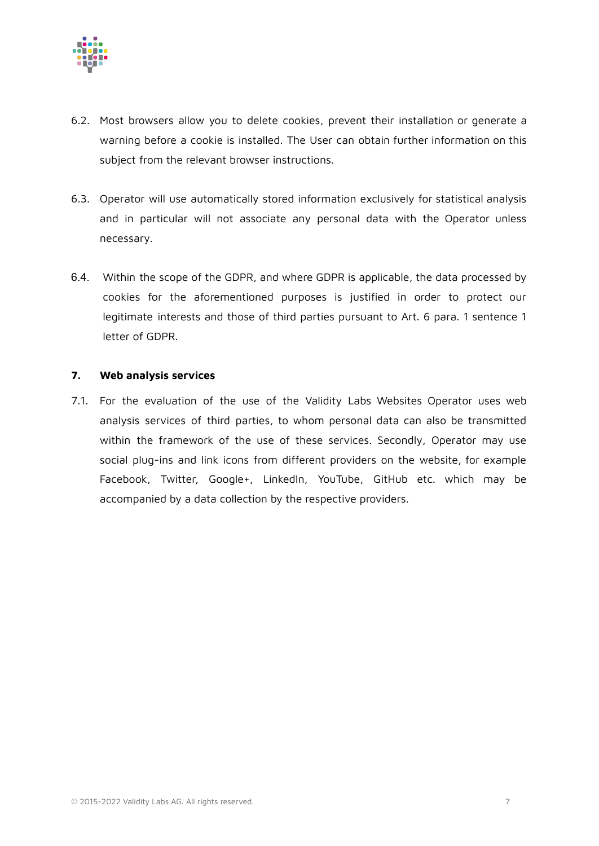

- 6.2. Most browsers allow you to delete cookies, prevent their installation or generate a warning before a cookie is installed. The User can obtain further information on this subject from the relevant browser instructions.
- 6.3. Operator will use automatically stored information exclusively for statistical analysis and in particular will not associate any personal data with the Operator unless necessary.
- 6.4. Within the scope of the GDPR, and where GDPR is applicable, the data processed by cookies for the aforementioned purposes is justified in order to protect our legitimate interests and those of third parties pursuant to Art. 6 para. 1 sentence 1 letter of GDPR.

#### **7. Web analysis services**

7.1. For the evaluation of the use of the Validity Labs Websites Operator uses web analysis services of third parties, to whom personal data can also be transmitted within the framework of the use of these services. Secondly, Operator may use social plug-ins and link icons from different providers on the website, for example Facebook, Twitter, Google+, LinkedIn, YouTube, GitHub etc. which may be accompanied by a data collection by the respective providers.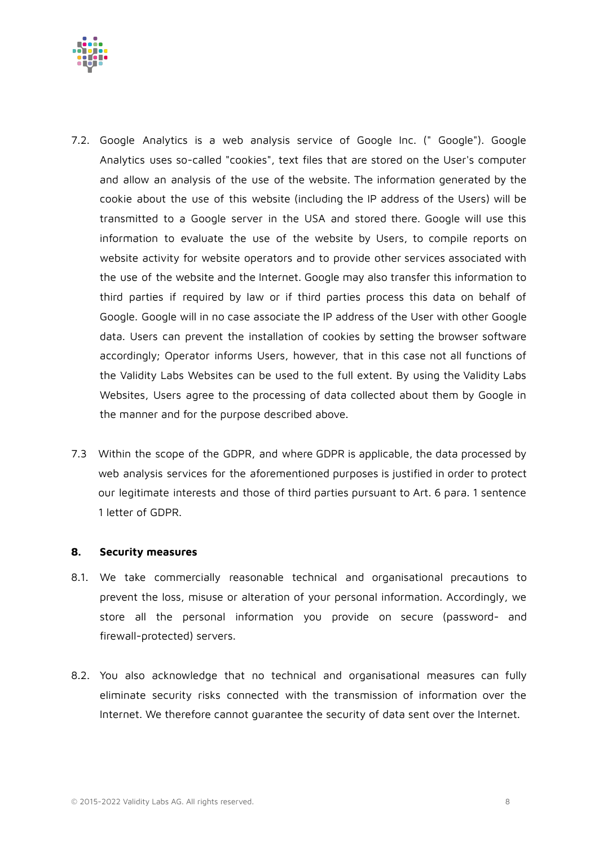

- 7.2. Google Analytics is a web analysis service of Google Inc. (" Google"). Google Analytics uses so-called "cookies", text files that are stored on the User's computer and allow an analysis of the use of the website. The information generated by the cookie about the use of this website (including the IP address of the Users) will be transmitted to a Google server in the USA and stored there. Google will use this information to evaluate the use of the website by Users, to compile reports on website activity for website operators and to provide other services associated with the use of the website and the Internet. Google may also transfer this information to third parties if required by law or if third parties process this data on behalf of Google. Google will in no case associate the IP address of the User with other Google data. Users can prevent the installation of cookies by setting the browser software accordingly; Operator informs Users, however, that in this case not all functions of the Validity Labs Websites can be used to the full extent. By using the Validity Labs Websites, Users agree to the processing of data collected about them by Google in the manner and for the purpose described above.
- 7.3 Within the scope of the GDPR, and where GDPR is applicable, the data processed by web analysis services for the aforementioned purposes is justified in order to protect our legitimate interests and those of third parties pursuant to Art. 6 para. 1 sentence 1 letter of GDPR.

#### **8. Security measures**

- 8.1. We take commercially reasonable technical and organisational precautions to prevent the loss, misuse or alteration of your personal information. Accordingly, we store all the personal information you provide on secure (password- and firewall-protected) servers.
- 8.2. You also acknowledge that no technical and organisational measures can fully eliminate security risks connected with the transmission of information over the Internet. We therefore cannot guarantee the security of data sent over the Internet.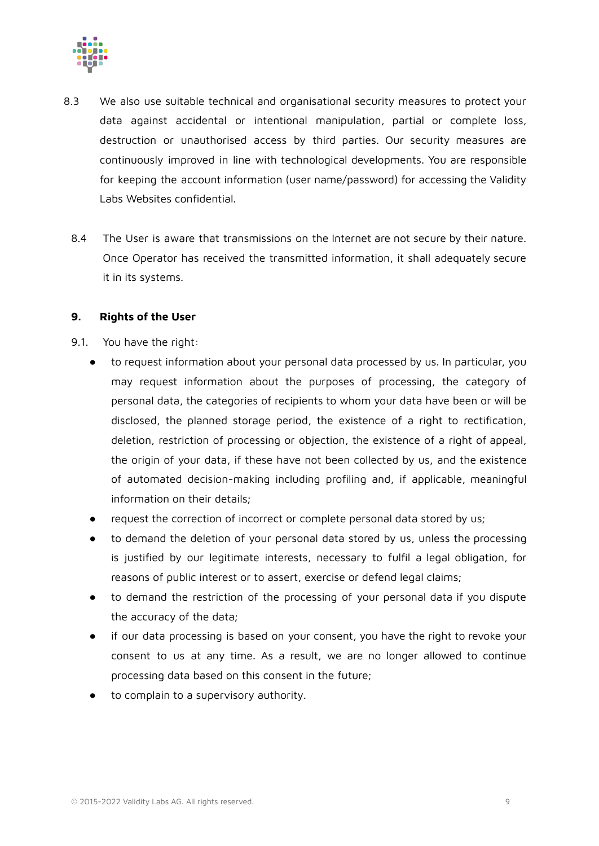

- 8.3 We also use suitable technical and organisational security measures to protect your data against accidental or intentional manipulation, partial or complete loss, destruction or unauthorised access by third parties. Our security measures are continuously improved in line with technological developments. You are responsible for keeping the account information (user name/password) for accessing the Validity Labs Websites confidential.
	- 8.4 The User is aware that transmissions on the Internet are not secure by their nature. Once Operator has received the transmitted information, it shall adequately secure it in its systems.

#### **9. Rights of the User**

- 9.1. You have the right:
	- to request information about your personal data processed by us. In particular, you may request information about the purposes of processing, the category of personal data, the categories of recipients to whom your data have been or will be disclosed, the planned storage period, the existence of a right to rectification, deletion, restriction of processing or objection, the existence of a right of appeal, the origin of your data, if these have not been collected by us, and the existence of automated decision-making including profiling and, if applicable, meaningful information on their details;
	- request the correction of incorrect or complete personal data stored by us;
	- to demand the deletion of your personal data stored by us, unless the processing is justified by our legitimate interests, necessary to fulfil a legal obligation, for reasons of public interest or to assert, exercise or defend legal claims;
	- to demand the restriction of the processing of your personal data if you dispute the accuracy of the data;
	- if our data processing is based on your consent, you have the right to revoke your consent to us at any time. As a result, we are no longer allowed to continue processing data based on this consent in the future;
	- to complain to a supervisory authority.